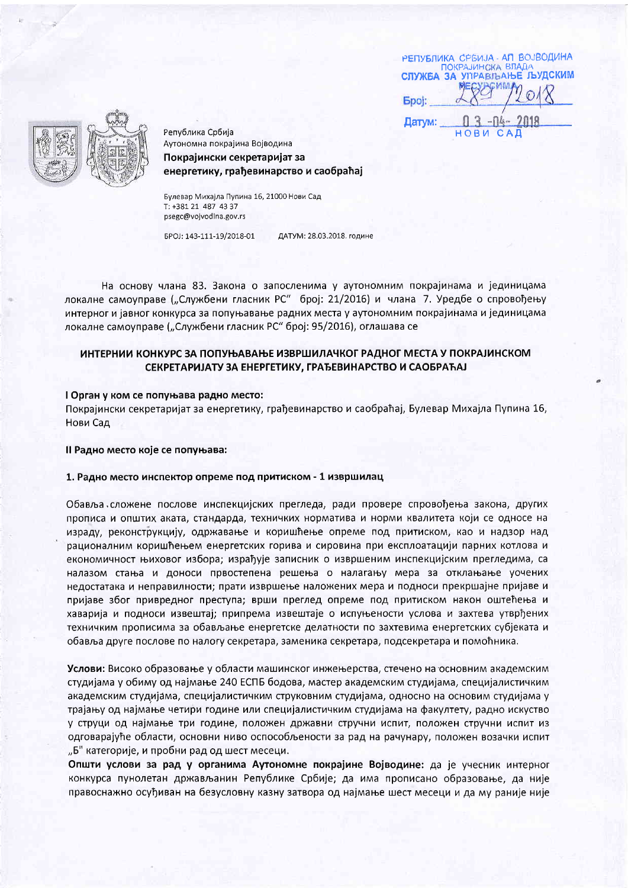РЕПУБЛИКА СРБИЈА - АП ВОЈВОДИНА ПОКРАЈИНСКА ВЛАДА<br>СЛУЖБА ЗА УПРАВЉАЊЕ ЉУДСКИМ **Epoi:** 

Датум:



Република Србија Аутономна покрајина Војводина Покрајински секретаријат за енергетику, грађевинарство и саобраћај

Булевар Михаіла Пупина 16, 21000 Нови Сад T: +381 21 487 43 37 psegc@vojvodina.gov.rs

EPOJ: 143-111-19/2018-01 ДАТУМ: 28.03.2018. године

На основу члана 83. Закона о запосленима у аутономним покрајинама и јединицама локалне самоуправе ("Службени гласник РС" број: 21/2016) и члана 7. Уредбе о спровођењу интерног и јавног конкурса за попуњавање радних места у аутономним покрајинама и јединицама локалне самоуправе ("Службени гласник РС" број: 95/2016), оглашава се

# ИНТЕРНИИ КОНКУРС ЗА ПОПУЊАВАЊЕ ИЗВРШИЛАЧКОГ РАДНОГ МЕСТА У ПОКРАЈИНСКОМ СЕКРЕТАРИЈАТУ ЗА ЕНЕРГЕТИКУ, ГРАЂЕВИНАРСТВО И САОБРАЋАЈ

## I Орган у ком се попуњава радно место:

Покрајински секретаријат за енергетику, грађевинарство и саобраћај, Булевар Михајла Пупина 16, Нови Сад

#### Il Радно место које се попуњава:

## 1. Радно место инспектор опреме под притиском - 1 извршилац

Обавља сложене послове инспекцијских прегледа, ради провере спровођења закона, других прописа и општих аката, стандарда, техничких норматива и норми квалитета који се односе на израду, реконструкцију, одржавање и коришћење опреме под притиском, као и надзор над рационалним коришћењем енергетских горива и сировина при експлоатацији парних котлова и економичност њиховог избора; израђује записник о извршеним инспекцијским прегледима, са налазом стања и доноси првостепена решења о налагању мера за отклањање уочених недостатака и неправилности; прати извршење наложених мера и подноси прекршајне пријаве и пријаве због привредног преступа; врши преглед опреме под притиском након оштећења и хаварија и подноси извештај; припрема извештаје о испуњености услова и захтева утврђених техничким прописима за обављање енергетске делатности по захтевима енергетских субјеката и обавља друге послове по налогу секретара, заменика секретара, подсекретара и помоћника.

Услови: Високо образовање у области машинског инжењерства, стечено на основним академским студијама у обиму од најмање 240 ЕСПБ бодова, мастер академским студијама, специјалистичким академским студијама, специјалистичким струковним студијама, односно на основим студијама у трајању од најмање четири године или специјалистичким студијама на факултету, радно искуство у струци од најмање три године, положен државни стручни испит, положен стручни испит из одговарајуће области, основни ниво оспособљености за рад на рачунару, положен возачки испит "Б" категорије, и пробни рад од шест месеци.

Општи услови за рад у органима Аутономне покрајине Војводине: да је учесник интерног конкурса пунолетан држављанин Републике Србије; да има прописано образовање, да није правоснажно осуђиван на безусловну казну затвора од најмање шест месеци и да му раније није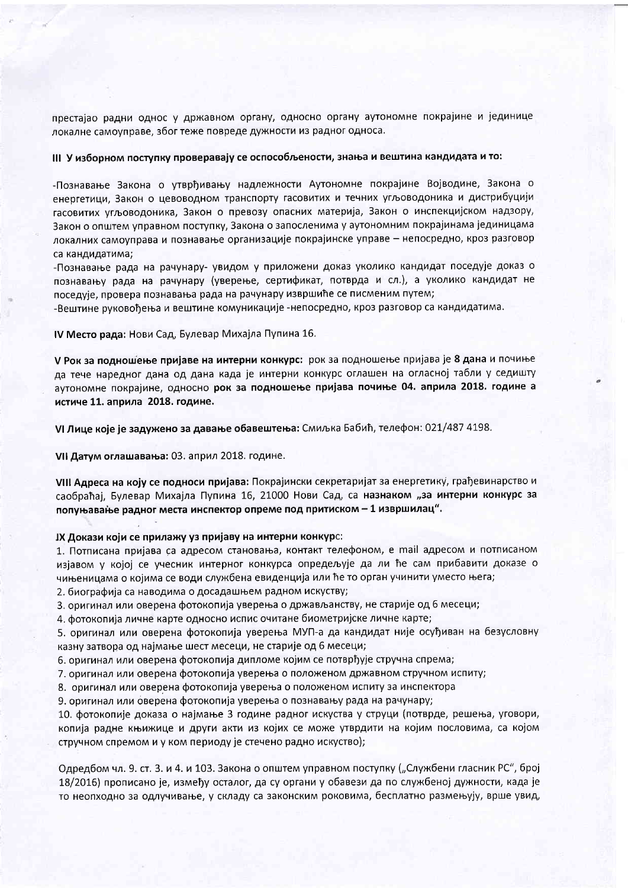престајао радни однос у државном органу, односно органу аутономне покрајине и јединице локалне самоуправе, због теже повреде дужности из радног односа.

# III У изборном поступку проверавају се оспособљености, знања и вештина кандидата и то:

-Познавање Закона о утврђивању надлежности Аутономне покрајине Војводине, Закона о енергетици, Закон о цевоводном транспорту гасовитих и течних угљоводоника и дистрибуцији гасовитих угљоводоника, Закон о превозу опасних материја, Закон о инспекцијском надзору, Закон о општем управном поступку, Закона о запосленима у аутономним покрајинама јединицама локалних самоуправа и познавање организације покрајинске управе - непосредно, кроз разговор са кандидатима;

-Познавање рада на рачунару- увидом у приложени доказ уколико кандидат поседује доказ о познавању рада на рачунару (уверење, сертификат, потврда и сл.), а уколико кандидат не поседује, провера познавања рада на рачунару извршиће се писменим путем;

-Вештине руковођења и вештине комуникације -непосредно, кроз разговор са кандидатима.

IV Место рада: Нови Сад, Булевар Михајла Пупина 16.

У Рок за подношење пријаве на интерни конкурс: рок за подношење пријава је 8 дана и почиње да тече наредног дана од дана када је интерни конкурс оглашен на огласној табли у седишту аутономне покрајине, односно рок за подношење пријава почиње 04. априла 2018. године а истиче 11. априла 2018. године.

VI Лице које је задужено за давање обавештења: Смиљка Бабић, телефон: 021/487 4198.

VII Датум оглашавања: 03. април 2018. године.

VIII Адреса на коју се подноси пријава: Покрајински секретаријат за енергетику, грађевинарство и саобраћај, Булевар Михајла Пупина 16, 21000 Нови Сад, са назнаком "за интерни конкурс за попуњавање радног места инспектор опреме под притиском - 1 извршилац".

IX Докази који се прилажу уз пријаву на интерни конкурс:

1. Потписана пријава са адресом становања, контакт телефоном, е mail адресом и потписаном изјавом у којој се учесник интерног конкурса опредељује да ли ће сам прибавити доказе о чињеницама о којима се води службена евиденција или ће то орган учинити уместо њега;

2. биографија са наводима о досадашњем радном искуству;

3. оригинал или оверена фотокопија уверења о држављанству, не старије од 6 месеци;

4. фотокопија личне карте односно испис очитане биометријске личне карте;

5. оригинал или оверена фотокопија уверења МУП-а да кандидат није осуђиван на безусловну казну затвора од најмање шест месеци, не старије од 6 месеци;

6. оригинал или оверена фотокопија дипломе којим се потврђује стручна спрема;

7. оригинал или оверена фотокопија уверења о положеном државном стручном испиту;

8. оригинал или оверена фотокопија уверења о положеном испиту за инспектора

9. оригинал или оверена фотокопија уверења о познавању рада на рачунару;

10. фотокопије доказа о најмање 3 године радног искуства у струци (потврде, решења, уговори, копија радне књижице и други акти из којих се може утврдити на којим пословима, са којом стручном спремом и у ком периоду је стечено радно искуство);

Одредбом чл. 9. ст. 3. и 4. и 103. Закона о општем управном поступку ("Службени гласник РС", број 18/2016) прописано је, између осталог, да су органи у обавези да по службеној дужности, када је то неопходно за одлучивање, у складу са законским роковима, бесплатно размењују, врше увид,